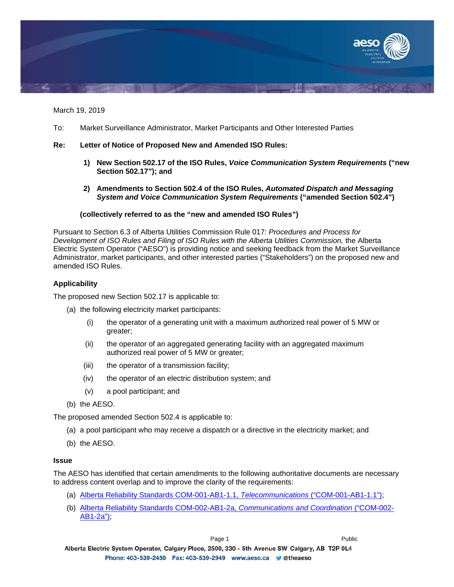

March 19, 2019

To: Market Surveillance Administrator, Market Participants and Other Interested Parties

## **Re: Letter of Notice of Proposed New and Amended ISO Rules:**

- **1) New Section 502.17 of the ISO Rules,** *Voice Communication System Requirements* **("new Section 502.17"); and**
- **2) Amendments to Section 502.4 of the ISO Rules,** *Automated Dispatch and Messaging System and Voice Communication System Requirements* **("amended Section 502.4")**

## **(collectively referred to as the "new and amended ISO Rules")**

Pursuant to Section 6.3 of Alberta Utilities Commission Rule 017: *Procedures and Process for*  **Development of ISO Rules and Filing of ISO Rules with the Alberta Utilities Commission, the Alberta** Electric System Operator ("AESO") is providing notice and seeking feedback from the Market Surveillance Administrator, market participants, and other interested parties ("Stakeholders") on the proposed new and amended ISO Rules.

# **Applicability**

The proposed new Section 502.17 is applicable to:

- (a) the following electricity market participants:
	- (i) the operator of a generating unit with a maximum authorized real power of 5 MW or greater;
	- (ii) the operator of an aggregated generating facility with an aggregated maximum authorized real power of 5 MW or greater;
	- (iii) the operator of a transmission facility;
	- (iv) the operator of an electric distribution system; and
	- (v) a pool participant; and
- (b) the AESO.

The proposed amended Section 502.4 is applicable to:

- (a) a pool participant who may receive a dispatch or a directive in the electricity market; and
- (b) the AESO.

### **Issue**

The AESO has identified that certain amendments to the following authoritative documents are necessary to address content overlap and to improve the clarity of the requirements:

- (a) [Alberta Reliability Standards COM-001-AB1-1.1,](https://www.aeso.ca/assets/documents/COM-001-AB1-1.1.pdf) *Telecommunications* ("COM-001-AB1-1.1");
- (b) [Alberta Reliability Standards COM-002-AB1-2a,](https://www.aeso.ca/assets/documents/COM-002-AB1-2a-Communications-and-Coordination2.pdf) *Communications and Coordination* ("COM-002- [AB1-2a"\);](https://www.aeso.ca/assets/documents/COM-002-AB1-2a-Communications-and-Coordination2.pdf)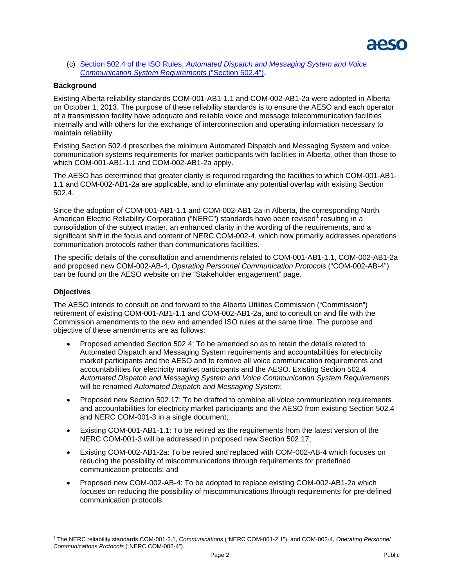

(c) Section 502.4 of the ISO Rules, *[Automated Dispatch and Messaging System and Voice](https://www.aeso.ca/assets/documents/Division-502-Section-502-4-Automated-Dispatch-March-27-2015.pdf)  [Communication System Requirements](https://www.aeso.ca/assets/documents/Division-502-Section-502-4-Automated-Dispatch-March-27-2015.pdf)* ("Section 502.4").

## **Background**

Existing Alberta reliability standards COM-001-AB1-1.1 and COM-002-AB1-2a were adopted in Alberta on October 1, 2013. The purpose of these reliability standards is to ensure the AESO and each operator of a transmission facility have adequate and reliable voice and message telecommunication facilities internally and with others for the exchange of interconnection and operating information necessary to maintain reliability.

Existing Section 502.4 prescribes the minimum Automated Dispatch and Messaging System and voice communication systems requirements for market participants with facilities in Alberta, other than those to which COM-001-AB1-1.1 and COM-002-AB1-2a apply.

The AESO has determined that greater clarity is required regarding the facilities to which COM-001-AB1- 1.1 and COM-002-AB1-2a are applicable, and to eliminate any potential overlap with existing Section 502.4.

Since the adoption of COM-001-AB1-1.1 and COM-002-AB1-2a in Alberta, the corresponding North American Electric Reliability Corporation ("NERC") standards have been revised<sup>[1](#page-1-0)</sup> resulting in a consolidation of the subject matter, an enhanced clarity in the wording of the requirements, and a significant shift in the focus and content of NERC COM-002-4, which now primarily addresses operations communication protocols rather than communications facilities.

The specific details of the consultation and amendments related to COM-001-AB1-1.1, COM-002-AB1-2a and proposed new COM-002-AB-4, *Operating Personnel Communication Protocols* ("COM-002-AB-4") can be found on the AESO website on the "Stakeholder engagement" page.

#### **Objectives**

 $\overline{a}$ 

The AESO intends to consult on and forward to the Alberta Utilities Commission ("Commission") retirement of existing COM-001-AB1-1.1 and COM-002-AB1-2a, and to consult on and file with the Commission amendments to the new and amended ISO rules at the same time. The purpose and objective of these amendments are as follows:

- Proposed amended Section 502.4: To be amended so as to retain the details related to Automated Dispatch and Messaging System requirements and accountabilities for electricity market participants and the AESO and to remove all voice communication requirements and accountabilities for electricity market participants and the AESO. Existing Section 502.4 *Automated Dispatch and Messaging System and Voice Communication System Requirements* will be renamed *Automated Dispatch and Messaging System*;
- Proposed new Section 502.17: To be drafted to combine all voice communication requirements and accountabilities for electricity market participants and the AESO from existing Section 502.4 and NERC COM-001-3 in a single document;
- Existing COM-001-AB1-1.1: To be retired as the requirements from the latest version of the NERC COM-001-3 will be addressed in proposed new Section 502.17;
- Existing COM-002-AB1-2a: To be retired and replaced with COM-002-AB-4 which focuses on reducing the possibility of miscommunications through requirements for predefined communication protocols; and
- Proposed new COM-002-AB-4: To be adopted to replace existing COM-002-AB1-2a which focuses on reducing the possibility of miscommunications through requirements for pre-defined communication protocols.

<span id="page-1-0"></span><sup>1</sup> The NERC reliability standards COM-001-2.1, *Communications* ("NERC COM-001-2.1"), and COM-002-4, *Operating Personnel Communications Protocols* ("NERC COM-002-4").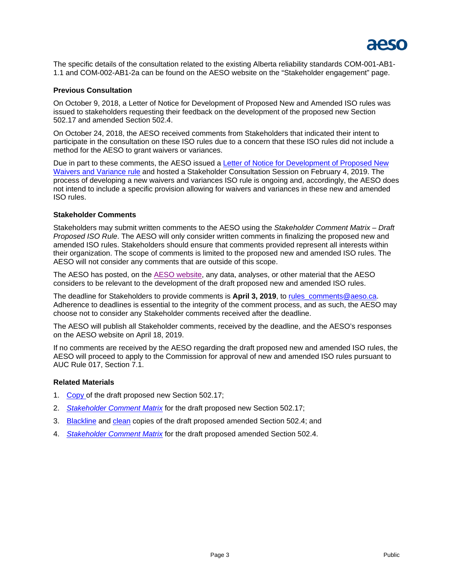

The specific details of the consultation related to the existing Alberta reliability standards COM-001-AB1- 1.1 and COM-002-AB1-2a can be found on the AESO website on the "Stakeholder engagement" page.

## **Previous Consultation**

On October 9, 2018, a Letter of Notice for Development of Proposed New and Amended ISO rules was issued to stakeholders requesting their feedback on the development of the proposed new Section 502.17 and amended Section 502.4.

On October 24, 2018, the AESO received comments from Stakeholders that indicated their intent to participate in the consultation on these ISO rules due to a concern that these ISO rules did not include a method for the AESO to grant waivers or variances.

Due in part to these comments, the AESO issued a Letter of Notice for Development of Proposed New [Waivers and Variance rule](https://www.aeso.ca/rules-standards-and-tariff/consultation/new/) and hosted a Stakeholder Consultation Session on February 4, 2019. The process of developing a new waivers and variances ISO rule is ongoing and, accordingly, the AESO does not intend to include a specific provision allowing for waivers and variances in these new and amended ISO rules.

## **Stakeholder Comments**

Stakeholders may submit written comments to the AESO using the *Stakeholder Comment Matrix – Draft Proposed ISO Rule*. The AESO will only consider written comments in finalizing the proposed new and amended ISO rules. Stakeholders should ensure that comments provided represent all interests within their organization. The scope of comments is limited to the proposed new and amended ISO rules. The AESO will not consider any comments that are outside of this scope.

The AESO has posted, on the [AESO website,](https://www.aeso.ca/rules-standards-and-tariff/consultation/new-section-502-17-of-the-iso-rules-and/) any data, analyses, or other material that the AESO considers to be relevant to the development of the draft proposed new and amended ISO rules.

The deadline for Stakeholders to provide comments is **April 3, 2019**, to [rules\\_comments@aeso.ca.](mailto:rules_comments@aeso.ca) Adherence to deadlines is essential to the integrity of the comment process, and as such, the AESO may choose not to consider any Stakeholder comments received after the deadline.

The AESO will publish all Stakeholder comments, received by the deadline, and the AESO's responses on the AESO website on April 18, 2019.

If no comments are received by the AESO regarding the draft proposed new and amended ISO rules, the AESO will proceed to apply to the Commission for approval of new and amended ISO rules pursuant to AUC Rule 017, Section 7.1.

#### **Related Materials**

- 1. [Copy o](https://www.aeso.ca/assets/Uploads/Section-502.17-Voice-Communications-System-Requirements.pdf)f the draft proposed new Section 502.17;
- 2. *Stakeholder [Comment Matrix](https://www.aeso.ca/assets/Uploads/Stakeholder-Comment-Matrix-Draft-new-ISO-rule-502.17-Stage-2.docx)* for the draft proposed new Section 502.17;
- 3. [Blackline](https://www.aeso.ca/assets/Uploads/502.4-Automated-Dispatch-and-Messaging-System-Blackline-.pdf) and [clean](https://www.aeso.ca/assets/Uploads/502.4-Automated-Dispatch-and-Messaging-System.pdf) copies of the draft proposed amended Section 502.4; and
- 4. *Stakeholder [Comment Matrix](https://www.aeso.ca/assets/Uploads/Stakeholder-Comment-Matrix-Draft-amended-502.4-Rule-Stage-2.docx)* for the draft proposed amended Section 502.4.